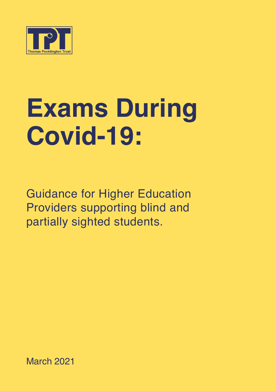

# **Exams During Covid-19:**

Guidance for Higher Education Providers supporting blind and partially sighted students.

March 2021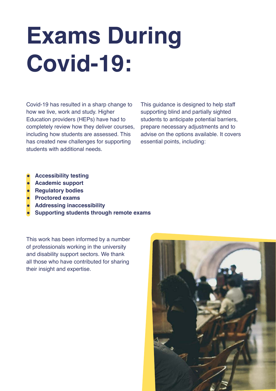# **Exams During Covid-19:**

Covid-19 has resulted in a sharp change to how we live, work and study. Higher Education providers (HEPs) have had to completely review how they deliver courses, including how students are assessed. This has created new challenges for supporting students with additional needs.

This guidance is designed to help staff supporting blind and partially sighted students to anticipate potential barriers, prepare necessary adjustments and to advise on the options available. It covers essential points, including:

- **● Accessibility testing**
- **● Academic support**
- **● Regulatory bodies**
- **● Proctored exams**
- **● Addressing inaccessibility**
- **● Supporting students through remote exams**

This work has been informed by a number of professionals working in the university and disability support sectors. We thank all those who have contributed for sharing their insight and expertise.

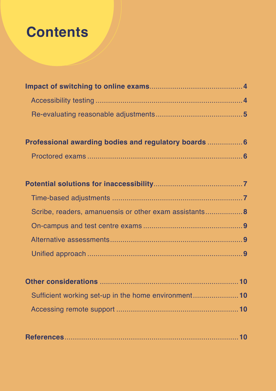## **Contents**

| Professional awarding bodies and regulatory boards  6 |  |
|-------------------------------------------------------|--|
|                                                       |  |

| Scribe, readers, amanuensis or other exam assistants 8 |  |
|--------------------------------------------------------|--|
|                                                        |  |
|                                                        |  |
|                                                        |  |

| Sufficient working set-up in the home environment10 |  |  |
|-----------------------------------------------------|--|--|
|                                                     |  |  |

|--|--|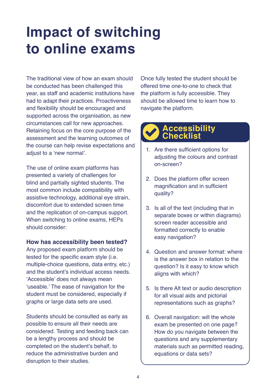## <span id="page-3-0"></span>**Impact of switching to online exams**

The traditional view of how an exam should be conducted has been challenged this year, as staff and academic institutions have had to adapt their practices. Proactiveness and flexibility should be encouraged and supported across the organisation, as new circumstances call for new approaches. Retaining focus on the core purpose of the assessment and the learning outcomes of the course can help revise expectations and adjust to a 'new normal'.

The use of online exam platforms has presented a variety of challenges for blind and partially sighted students. The most common include compatibility with assistive technology, additional eye strain, discomfort due to extended screen time and the replication of on-campus support. When switching to online exams, HEPs should consider:

#### **How has accessibility been tested?**

Any proposed exam platform should be tested for the specific exam style (i.e. multiple-choice questions, data entry, etc.) and the student's individual access needs. 'Accessible' does not always mean 'useable.' The ease of navigation for the student must be considered, especially if graphs or large data sets are used.

Students should be consulted as early as possible to ensure all their needs are considered. Testing and feeding back can be a lengthy process and should be completed on the student's behalf, to reduce the administrative burden and disruption to their studies.

Once fully tested the student should be offered time one-to-one to check that the platform is fully accessible. They should be allowed time to learn how to navigate the platform.

#### **Accessibility Checklist**

- 1. Are there sufficient options for adiusting the colours and contrast on-screen?
- 2. Does the platform offer screen magnification and in sufficient quality?
- 3. Is all of the text (including that in separate boxes or within diagrams) screen reader accessible and formatted correctly to enable easy navigation?
- 4. Question and answer format: where is the answer box in relation to the question? Is it easy to know which aligns with which?
- 5. Is there Alt text or audio description for all visual aids and pictorial representations such as graphs?
- 6. Overall navigation: will the whole exam be presented on one page? How do you navigate between the questions and any supplementary materials such as permitted reading, equations or data sets?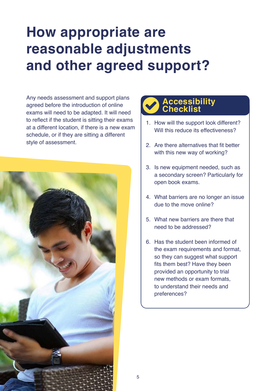### <span id="page-4-0"></span>**How appropriate are reasonable adjustments and other agreed support?**

Any needs assessment and support plans agreed before the introduction of online exams will need to be adapted. It will need to reflect if the student is sitting their exams at a different location, if there is a new exam schedule, or if they are sitting a different style of assessment.



### **Accessibility Checklist**

- 1. How will the support look different? Will this reduce its effectiveness?
- 2. Are there alternatives that fit better with this new way of working?
- 3. Is new equipment needed, such as a secondary screen? Particularly for open book exams.
- 4. What barriers are no longer an issue due to the move online?
- 5. What new barriers are there that need to be addressed?
- 6. Has the student been informed of the exam requirements and format, so they can suggest what support fits them best? Have they been provided an opportunity to trial new methods or exam formats, to understand their needs and preferences?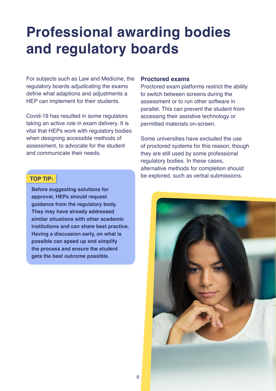### <span id="page-5-0"></span>**Professional awarding bodies and regulatory boards**

For subjects such as Law and Medicine, the regulatory boards adjudicating the exams define what adaptions and adjustments a HEP can implement for their students.

Covid-19 has resulted in some regulators taking an active role in exam delivery. It is vital that HEPs work with regulatory bodies when designing accessible methods of assessment, to advocate for the student and communicate their needs.

**Before suggesting solutions for approval, HEPs should request guidance from the regulatory body. They may have already addressed similar situations with other academic institutions and can share best practice. Having a discussion early, on what is possible can speed up and simplify the process and ensure the student gets the best outcome possible.**

#### **Proctored exams**

Proctored exam platforms restrict the ability to switch between screens during the assessment or to run other software in parallel. This can prevent the student from accessing their assistive technology or permitted materials on-screen.

Some universities have excluded the use of proctored systems for this reason, though they are still used by some professional regulatory bodies. In these cases, alternative methods for completion should be explored, such as verbal submissions. **TOP TIP:**

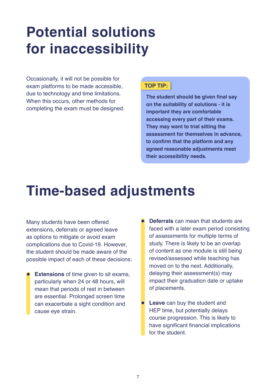## <span id="page-6-0"></span>**Potential solutions for inaccessibility**

Occasionally, it will not be possible for exam platforms to be made accessible, due to technology and time limitations. When this occurs, other methods for completing the exam must be designed.

#### **TOP TIP:**

**The student should be given final say on the suitability of solutions - it is important they are comfortable accessing every part of their exams. They may want to trial sitting the assessment for themselves in advance, to confirm that the platform and any agreed reasonable adjustments meet their accessibility needs.**

### **Time-based adjustments**

Many students have been offered extensions, deferrals or agreed leave as options to mitigate or avoid exam complications due to Covid-19. However, the student should be made aware of the possible impact of each of these decisions:

- **Extensions** of time given to sit exams, particularly when 24 or 48 hours, will mean that periods of rest in between are essential. Prolonged screen time can exacerbate a sight condition and cause eye strain.
- **Deferrals** can mean that students are faced with a later exam period consisting of assessments for multiple terms of study. There is likely to be an overlap of content as one module is still being revised/assessed while teaching has moved on to the next. Additionally, delaying their assessment(s) may impact their graduation date or uptake of placements.
- **Leave** can buy the student and HEP time, but potentially delays course progression. This is likely to have significant financial implications for the student.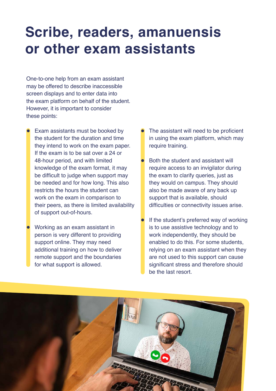### <span id="page-7-0"></span>**Scribe, readers, amanuensis or other exam assistants**

One-to-one help from an exam assistant may be offered to describe inaccessible screen displays and to enter data into the exam platform on behalf of the student. However, it is important to consider these points:

- Exam assistants must be booked by the student for the duration and time they intend to work on the exam paper. If the exam is to be sat over a 24 or 48-hour period, and with limited knowledge of the exam format, it may be difficult to judge when support may be needed and for how long. This also restricts the hours the student can work on the exam in comparison to their peers, as there is limited availability of support out-of-hours.
- **●** Working as an exam assistant in person is very different to providing support online. They may need additional training on how to deliver remote support and the boundaries for what support is allowed.
- The assistant will need to be proficient in using the exam platform, which may require training.
- **Both the student and assistant will** require access to an invigilator during the exam to clarify queries, just as they would on campus. They should also be made aware of any back up support that is available, should difficulties or connectivity issues arise.
- If the student's preferred way of working is to use assistive technology and to work independently, they should be enabled to do this. For some students, relying on an exam assistant when they are not used to this support can cause significant stress and therefore should be the last resort.

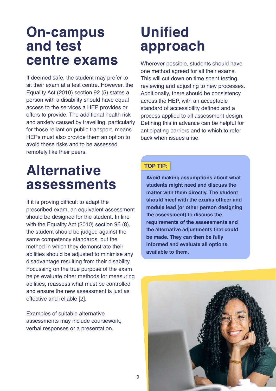### <span id="page-8-0"></span>**On-campus and test centre exams**

If deemed safe, the student may prefer to sit their exam at a test centre. However, the Equality Act (2010) section 92 (5) states a person with a disability should have equal access to the services a HEP provides or offers to provide. The additional health risk and anxiety caused by travelling, particularly for those reliant on public transport, means HEPs must also provide them an option to avoid these risks and to be assessed remotely like their peers.

### **Unified approach**

Wherever possible, students should have one method agreed for all their exams. This will cut down on time spent testing, reviewing and adjusting to new processes. Additionally, there should be consistency across the HEP, with an acceptable standard of accessibility defined and a process applied to all assessment design. Defining this in advance can be helpful for anticipating barriers and to which to refer back when issues arise.

### **Alternative assessments**

If it is proving difficult to adapt the prescribed exam, an equivalent assessment should be designed for the student. In line with the Equality Act (2010) section 96 (8), the student should be judged against the same competency standards, but the method in which they demonstrate their abilities should be adjusted to minimise any disadvantage resulting from their disability. Focussing on the true purpose of the exam helps evaluate other methods for measuring abilities, reassess what must be controlled and ensure the new assessment is just as effective and reliable [2].

Examples of suitable alternative assessments may include coursework, verbal responses or a presentation.

#### **TOP TIP:**

**Avoid making assumptions about what students might need and discuss the matter with them directly. The student should meet with the exams officer and module lead (or other person designing the assessment) to discuss the requirements of the assessments and the alternative adjustments that could be made. They can then be fully informed and evaluate all options available to them.**

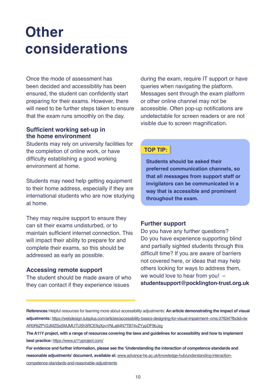### <span id="page-9-0"></span>**Other considerations**

Once the mode of assessment has been decided and accessibility has been ensured, the student can confidently start preparing for their exams. However, there will need to be further steps taken to ensure that the exam runs smoothly on the day.

#### **Sufficient working set-up in the home environment**

Students may rely on university facilities for the completion of online work, or have difficulty establishing a good working environment at home.

Students may need help getting equipment to their home address, especially if they are international students who are now studying at home.

They may require support to ensure they can sit their exams undisturbed, or to maintain sufficient internet connection. This will impact their ability to prepare for and complete their exams, so this should be addressed as early as possible.

#### **Accessing remote support**

The student should be made aware of who they can contact if they experience issues

during the exam, require IT support or have queries when navigating the platform. Messages sent through the exam platform or other online channel may not be accessible. Often pop-up notifications are undetectable for screen readers or are not visible due to screen magnification.

#### **TOP TIP:**

**Students should be asked their preferred communication channels, so that all messages from support staff or invigilators can be communicated in a way that is accessible and prominent throughout the exam.**

#### **Further support**

Do you have any further questions? Do you have experience supporting blind and partially sighted students through this difficult time? If you are aware of barriers not covered here, or ideas that may help others looking for ways to address them, we would love to hear from you! – **studentsupport@pocklington-trust.org.uk**

**References** Helpful resources for learning more about accessibility adjustments: **An article demonstrating the impact of visual adjustments:** [https://webdesign.tutsplus.com/articles/accessibility-basics-designing-for-visual-impairment--cms-27634?fbclid=Iw](http://webdesign.tutsplus.com/articles/accessibility-basics-designing-for-visual-impairment--cms-27634?fbclid=IwAR0RiiZPV2JMZSsSMJMUTUSh3RCEflqXpvVNLa64N7TB74vZYypDF9bJzg) [AR0RiiZPV2JMZSsSMJMUTUSh3RCEflqXpvVNLa64N7TB74vZYypDF9bJzg](http://webdesign.tutsplus.com/articles/accessibility-basics-designing-for-visual-impairment--cms-27634?fbclid=IwAR0RiiZPV2JMZSsSMJMUTUSh3RCEflqXpvVNLa64N7TB74vZYypDF9bJzg)

**The A11Y project, with a range of resources covering the laws and guidelines for accessibility and how to implement best practice:** [https://www.a11yproject.com/](http://www.a11yproject.com/)

**For evidence and further information, please see the 'Understanding the interaction of competence standards and reasonable adjustments' document, available at:** [www.advance-he.ac.uk/knowledge-hub/understanding-interaction](http://www.advance-he.ac.uk/knowledge-hub/understanding-interaction-competence-standards-and-reasonable-adjustments)[competence-standards-and-reasonable-adjustments](http://www.advance-he.ac.uk/knowledge-hub/understanding-interaction-competence-standards-and-reasonable-adjustments)